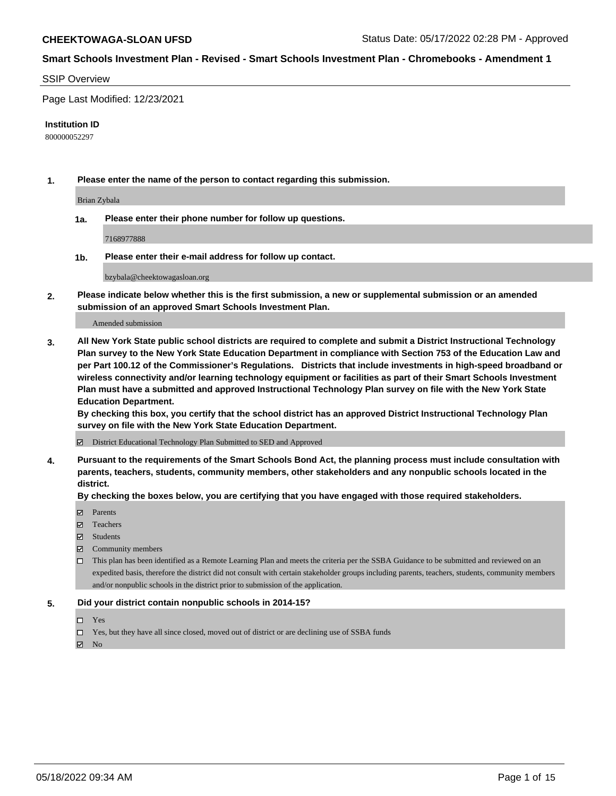#### SSIP Overview

Page Last Modified: 12/23/2021

#### **Institution ID**

800000052297

**1. Please enter the name of the person to contact regarding this submission.**

Brian Zybala

**1a. Please enter their phone number for follow up questions.**

7168977888

**1b. Please enter their e-mail address for follow up contact.**

bzybala@cheektowagasloan.org

**2. Please indicate below whether this is the first submission, a new or supplemental submission or an amended submission of an approved Smart Schools Investment Plan.**

Amended submission

**3. All New York State public school districts are required to complete and submit a District Instructional Technology Plan survey to the New York State Education Department in compliance with Section 753 of the Education Law and per Part 100.12 of the Commissioner's Regulations. Districts that include investments in high-speed broadband or wireless connectivity and/or learning technology equipment or facilities as part of their Smart Schools Investment Plan must have a submitted and approved Instructional Technology Plan survey on file with the New York State Education Department.** 

**By checking this box, you certify that the school district has an approved District Instructional Technology Plan survey on file with the New York State Education Department.**

District Educational Technology Plan Submitted to SED and Approved

**4. Pursuant to the requirements of the Smart Schools Bond Act, the planning process must include consultation with parents, teachers, students, community members, other stakeholders and any nonpublic schools located in the district.** 

**By checking the boxes below, you are certifying that you have engaged with those required stakeholders.**

- **□** Parents
- Teachers
- Students
- $\Xi$  Community members
- This plan has been identified as a Remote Learning Plan and meets the criteria per the SSBA Guidance to be submitted and reviewed on an expedited basis, therefore the district did not consult with certain stakeholder groups including parents, teachers, students, community members and/or nonpublic schools in the district prior to submission of the application.

#### **5. Did your district contain nonpublic schools in 2014-15?**

- Yes
- $\Box$  Yes, but they have all since closed, moved out of district or are declining use of SSBA funds

 $\boxtimes$  No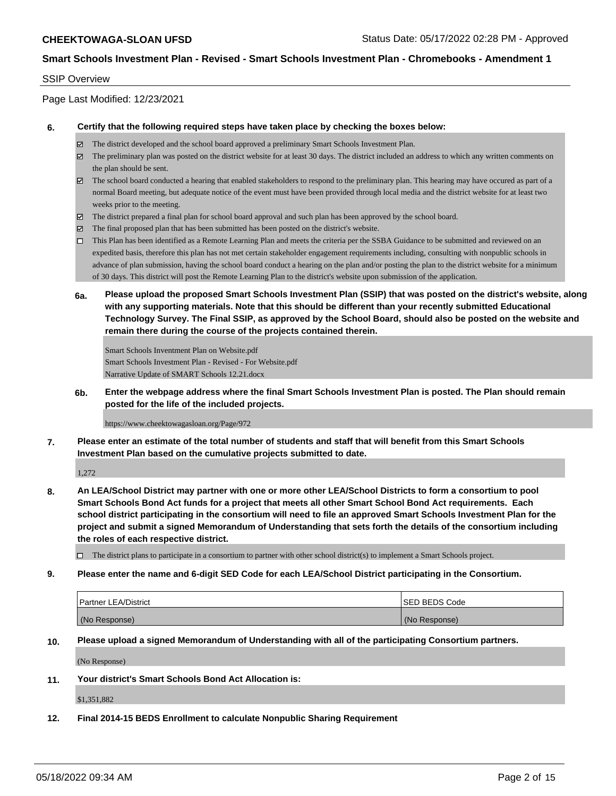### SSIP Overview

Page Last Modified: 12/23/2021

#### **6. Certify that the following required steps have taken place by checking the boxes below:**

- The district developed and the school board approved a preliminary Smart Schools Investment Plan.
- $\boxtimes$  The preliminary plan was posted on the district website for at least 30 days. The district included an address to which any written comments on the plan should be sent.
- $\boxtimes$  The school board conducted a hearing that enabled stakeholders to respond to the preliminary plan. This hearing may have occured as part of a normal Board meeting, but adequate notice of the event must have been provided through local media and the district website for at least two weeks prior to the meeting.
- The district prepared a final plan for school board approval and such plan has been approved by the school board.
- $\boxtimes$  The final proposed plan that has been submitted has been posted on the district's website.
- This Plan has been identified as a Remote Learning Plan and meets the criteria per the SSBA Guidance to be submitted and reviewed on an expedited basis, therefore this plan has not met certain stakeholder engagement requirements including, consulting with nonpublic schools in advance of plan submission, having the school board conduct a hearing on the plan and/or posting the plan to the district website for a minimum of 30 days. This district will post the Remote Learning Plan to the district's website upon submission of the application.
- **6a. Please upload the proposed Smart Schools Investment Plan (SSIP) that was posted on the district's website, along with any supporting materials. Note that this should be different than your recently submitted Educational Technology Survey. The Final SSIP, as approved by the School Board, should also be posted on the website and remain there during the course of the projects contained therein.**

Smart Schools Inventment Plan on Website.pdf Smart Schools Investment Plan - Revised - For Website.pdf Narrative Update of SMART Schools 12.21.docx

**6b. Enter the webpage address where the final Smart Schools Investment Plan is posted. The Plan should remain posted for the life of the included projects.**

https://www.cheektowagasloan.org/Page/972

**7. Please enter an estimate of the total number of students and staff that will benefit from this Smart Schools Investment Plan based on the cumulative projects submitted to date.**

1,272

**8. An LEA/School District may partner with one or more other LEA/School Districts to form a consortium to pool Smart Schools Bond Act funds for a project that meets all other Smart School Bond Act requirements. Each school district participating in the consortium will need to file an approved Smart Schools Investment Plan for the project and submit a signed Memorandum of Understanding that sets forth the details of the consortium including the roles of each respective district.**

 $\Box$  The district plans to participate in a consortium to partner with other school district(s) to implement a Smart Schools project.

**9. Please enter the name and 6-digit SED Code for each LEA/School District participating in the Consortium.**

| <b>Partner LEA/District</b> | ISED BEDS Code |
|-----------------------------|----------------|
| (No Response)               | (No Response)  |

**10. Please upload a signed Memorandum of Understanding with all of the participating Consortium partners.**

(No Response)

**11. Your district's Smart Schools Bond Act Allocation is:**

\$1,351,882

**12. Final 2014-15 BEDS Enrollment to calculate Nonpublic Sharing Requirement**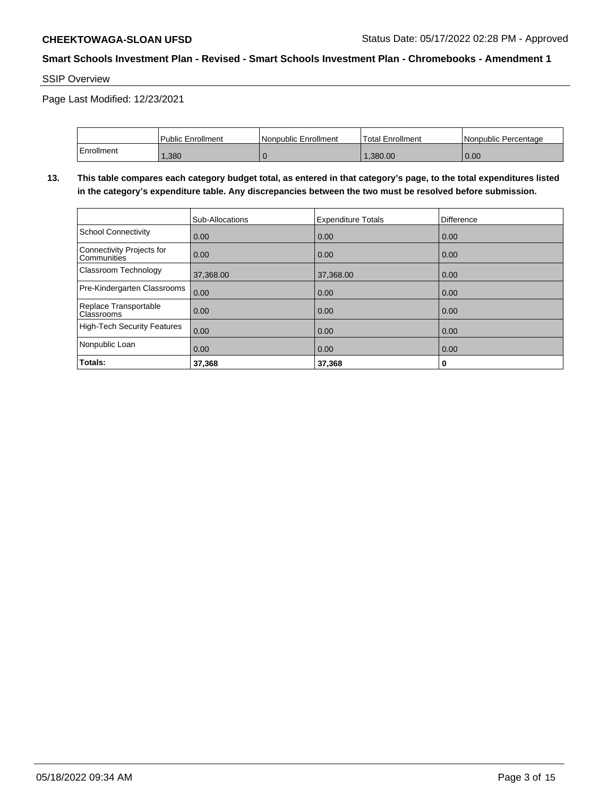SSIP Overview

Page Last Modified: 12/23/2021

|            | Public Enrollment | Nonpublic Enrollment | <b>Total Enrollment</b> | l Nonpublic Percentage |
|------------|-------------------|----------------------|-------------------------|------------------------|
| Enrollment | ,380              |                      | .380.00                 | 0.00                   |

**13. This table compares each category budget total, as entered in that category's page, to the total expenditures listed in the category's expenditure table. Any discrepancies between the two must be resolved before submission.**

|                                            | Sub-Allocations | <b>Expenditure Totals</b> | Difference |
|--------------------------------------------|-----------------|---------------------------|------------|
| School Connectivity                        | 0.00            | 0.00                      | 0.00       |
| Connectivity Projects for<br>Communities   | 0.00            | 0.00                      | 0.00       |
| Classroom Technology                       | 37,368.00       | 37,368.00                 | 0.00       |
| Pre-Kindergarten Classrooms                | 0.00            | 0.00                      | 0.00       |
| Replace Transportable<br><b>Classrooms</b> | 0.00            | 0.00                      | 0.00       |
| High-Tech Security Features                | 0.00            | 0.00                      | 0.00       |
| Nonpublic Loan                             | 0.00            | 0.00                      | 0.00       |
| Totals:                                    | 37,368          | 37,368                    | 0          |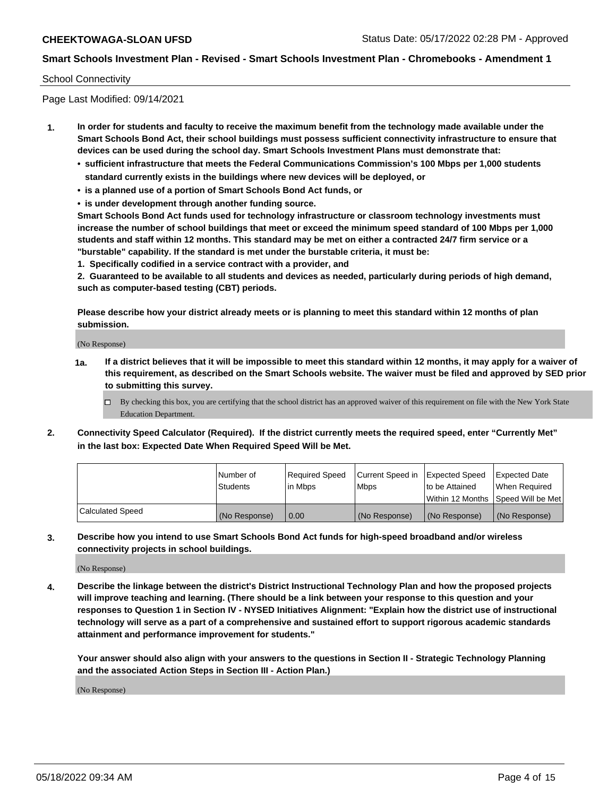## School Connectivity

Page Last Modified: 09/14/2021

- **1. In order for students and faculty to receive the maximum benefit from the technology made available under the Smart Schools Bond Act, their school buildings must possess sufficient connectivity infrastructure to ensure that devices can be used during the school day. Smart Schools Investment Plans must demonstrate that:**
	- **• sufficient infrastructure that meets the Federal Communications Commission's 100 Mbps per 1,000 students standard currently exists in the buildings where new devices will be deployed, or**
	- **• is a planned use of a portion of Smart Schools Bond Act funds, or**
	- **• is under development through another funding source.**

**Smart Schools Bond Act funds used for technology infrastructure or classroom technology investments must increase the number of school buildings that meet or exceed the minimum speed standard of 100 Mbps per 1,000 students and staff within 12 months. This standard may be met on either a contracted 24/7 firm service or a "burstable" capability. If the standard is met under the burstable criteria, it must be:**

**1. Specifically codified in a service contract with a provider, and**

**2. Guaranteed to be available to all students and devices as needed, particularly during periods of high demand, such as computer-based testing (CBT) periods.**

**Please describe how your district already meets or is planning to meet this standard within 12 months of plan submission.**

(No Response)

- **1a. If a district believes that it will be impossible to meet this standard within 12 months, it may apply for a waiver of this requirement, as described on the Smart Schools website. The waiver must be filed and approved by SED prior to submitting this survey.**
	- By checking this box, you are certifying that the school district has an approved waiver of this requirement on file with the New York State Education Department.
- **2. Connectivity Speed Calculator (Required). If the district currently meets the required speed, enter "Currently Met" in the last box: Expected Date When Required Speed Will be Met.**

|                  | l Number of<br><b>Students</b> | Required Speed<br>l in Mbps | Current Speed in<br><b>Mbps</b> | <b>Expected Speed</b><br>to be Attained | Expected Date<br>When Reauired |
|------------------|--------------------------------|-----------------------------|---------------------------------|-----------------------------------------|--------------------------------|
|                  |                                |                             |                                 | Within 12 Months 1Speed Will be Met     |                                |
| Calculated Speed | (No Response)                  | 0.00                        | (No Response)                   | (No Response)                           | (No Response)                  |

**3. Describe how you intend to use Smart Schools Bond Act funds for high-speed broadband and/or wireless connectivity projects in school buildings.**

(No Response)

**4. Describe the linkage between the district's District Instructional Technology Plan and how the proposed projects will improve teaching and learning. (There should be a link between your response to this question and your responses to Question 1 in Section IV - NYSED Initiatives Alignment: "Explain how the district use of instructional technology will serve as a part of a comprehensive and sustained effort to support rigorous academic standards attainment and performance improvement for students."** 

**Your answer should also align with your answers to the questions in Section II - Strategic Technology Planning and the associated Action Steps in Section III - Action Plan.)**

(No Response)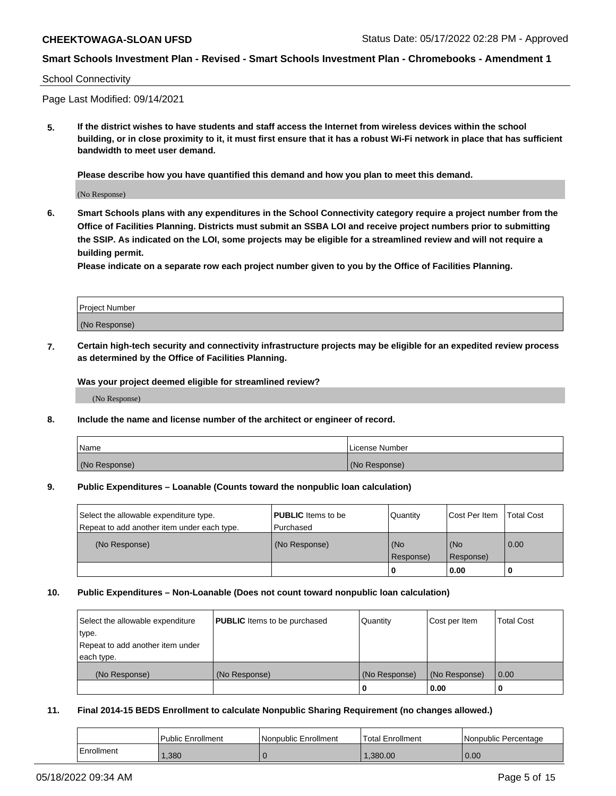#### School Connectivity

Page Last Modified: 09/14/2021

**5. If the district wishes to have students and staff access the Internet from wireless devices within the school building, or in close proximity to it, it must first ensure that it has a robust Wi-Fi network in place that has sufficient bandwidth to meet user demand.**

**Please describe how you have quantified this demand and how you plan to meet this demand.**

(No Response)

**6. Smart Schools plans with any expenditures in the School Connectivity category require a project number from the Office of Facilities Planning. Districts must submit an SSBA LOI and receive project numbers prior to submitting the SSIP. As indicated on the LOI, some projects may be eligible for a streamlined review and will not require a building permit.**

**Please indicate on a separate row each project number given to you by the Office of Facilities Planning.**

| Project Number |  |
|----------------|--|
| (No Response)  |  |

**7. Certain high-tech security and connectivity infrastructure projects may be eligible for an expedited review process as determined by the Office of Facilities Planning.**

**Was your project deemed eligible for streamlined review?**

(No Response)

#### **8. Include the name and license number of the architect or engineer of record.**

| Name          | I License Number |
|---------------|------------------|
| (No Response) | (No Response)    |

#### **9. Public Expenditures – Loanable (Counts toward the nonpublic loan calculation)**

| Select the allowable expenditure type.<br>Repeat to add another item under each type. | <b>PUBLIC</b> Items to be<br>Purchased | Quantity         | Cost Per Item    | <b>Total Cost</b> |
|---------------------------------------------------------------------------------------|----------------------------------------|------------------|------------------|-------------------|
| (No Response)                                                                         | (No Response)                          | (No<br>Response) | (No<br>Response) | 0.00              |
|                                                                                       |                                        | 0                | 0.00             |                   |

## **10. Public Expenditures – Non-Loanable (Does not count toward nonpublic loan calculation)**

| Select the allowable expenditure | <b>PUBLIC</b> Items to be purchased | Quantity      | Cost per Item | <b>Total Cost</b> |
|----------------------------------|-------------------------------------|---------------|---------------|-------------------|
| type.                            |                                     |               |               |                   |
| Repeat to add another item under |                                     |               |               |                   |
| each type.                       |                                     |               |               |                   |
| (No Response)                    | (No Response)                       | (No Response) | (No Response) | 0.00              |
|                                  |                                     | U             | 0.00          |                   |

### **11. Final 2014-15 BEDS Enrollment to calculate Nonpublic Sharing Requirement (no changes allowed.)**

|            | Public Enrollment | Nonpublic Enrollment | Total Enrollment | l Nonpublic Percentage |
|------------|-------------------|----------------------|------------------|------------------------|
| Enrollment | ,380              |                      | 1.380.00         | 0.00                   |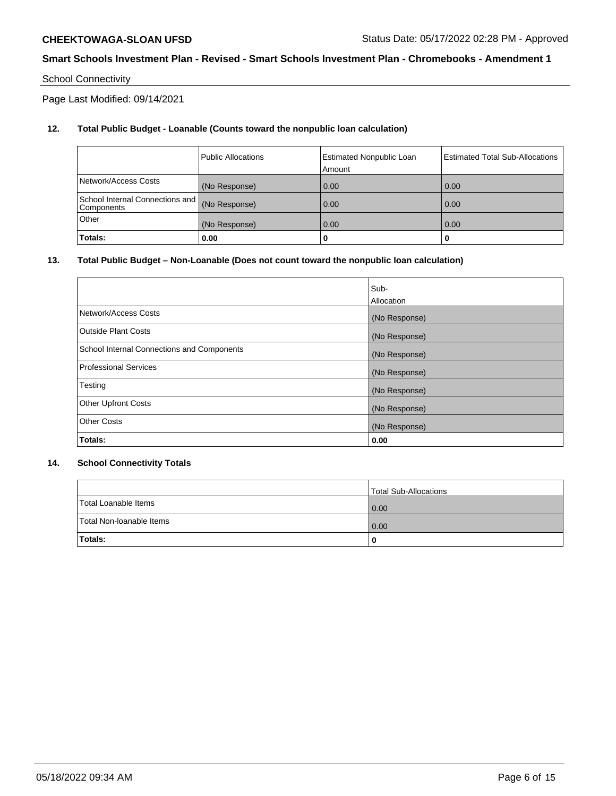# School Connectivity

Page Last Modified: 09/14/2021

# **12. Total Public Budget - Loanable (Counts toward the nonpublic loan calculation)**

|                                               | <b>Public Allocations</b> | <b>Estimated Nonpublic Loan</b><br>Amount | Estimated Total Sub-Allocations |
|-----------------------------------------------|---------------------------|-------------------------------------------|---------------------------------|
| Network/Access Costs                          | (No Response)             | 0.00                                      | 0.00                            |
| School Internal Connections and<br>Components | (No Response)             | 0.00                                      | 0.00                            |
| Other                                         | (No Response)             | 0.00                                      | 0.00                            |
| Totals:                                       | 0.00                      |                                           | 0                               |

## **13. Total Public Budget – Non-Loanable (Does not count toward the nonpublic loan calculation)**

|                                            | Sub-          |
|--------------------------------------------|---------------|
|                                            | Allocation    |
| Network/Access Costs                       | (No Response) |
| <b>Outside Plant Costs</b>                 | (No Response) |
| School Internal Connections and Components | (No Response) |
| <b>Professional Services</b>               | (No Response) |
| Testing                                    | (No Response) |
| <b>Other Upfront Costs</b>                 | (No Response) |
| <b>Other Costs</b>                         | (No Response) |
| Totals:                                    | 0.00          |

## **14. School Connectivity Totals**

|                          | Total Sub-Allocations |
|--------------------------|-----------------------|
| Total Loanable Items     | 0.00                  |
| Total Non-Ioanable Items | 0.00                  |
| Totals:                  | 0                     |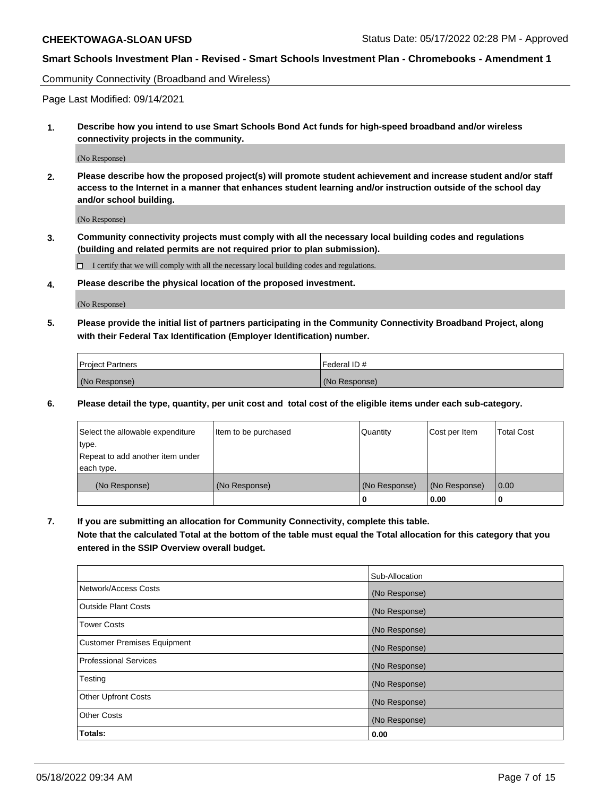Community Connectivity (Broadband and Wireless)

Page Last Modified: 09/14/2021

**1. Describe how you intend to use Smart Schools Bond Act funds for high-speed broadband and/or wireless connectivity projects in the community.**

(No Response)

**2. Please describe how the proposed project(s) will promote student achievement and increase student and/or staff access to the Internet in a manner that enhances student learning and/or instruction outside of the school day and/or school building.**

(No Response)

**3. Community connectivity projects must comply with all the necessary local building codes and regulations (building and related permits are not required prior to plan submission).**

 $\Box$  I certify that we will comply with all the necessary local building codes and regulations.

**4. Please describe the physical location of the proposed investment.**

(No Response)

**5. Please provide the initial list of partners participating in the Community Connectivity Broadband Project, along with their Federal Tax Identification (Employer Identification) number.**

| <b>Project Partners</b> | l Federal ID # |
|-------------------------|----------------|
| (No Response)           | (No Response)  |

**6. Please detail the type, quantity, per unit cost and total cost of the eligible items under each sub-category.**

| Select the allowable expenditure          | Item to be purchased | Quantity      | Cost per Item | <b>Total Cost</b> |
|-------------------------------------------|----------------------|---------------|---------------|-------------------|
| type.<br>Repeat to add another item under |                      |               |               |                   |
| each type.                                |                      |               |               |                   |
| (No Response)                             | (No Response)        | (No Response) | (No Response) | 0.00              |
|                                           |                      | 0             | 0.00          |                   |

**7. If you are submitting an allocation for Community Connectivity, complete this table.**

**Note that the calculated Total at the bottom of the table must equal the Total allocation for this category that you entered in the SSIP Overview overall budget.**

|                                    | Sub-Allocation |
|------------------------------------|----------------|
| Network/Access Costs               | (No Response)  |
| Outside Plant Costs                | (No Response)  |
| <b>Tower Costs</b>                 | (No Response)  |
| <b>Customer Premises Equipment</b> | (No Response)  |
| Professional Services              | (No Response)  |
| Testing                            | (No Response)  |
| <b>Other Upfront Costs</b>         | (No Response)  |
| <b>Other Costs</b>                 | (No Response)  |
| Totals:                            | 0.00           |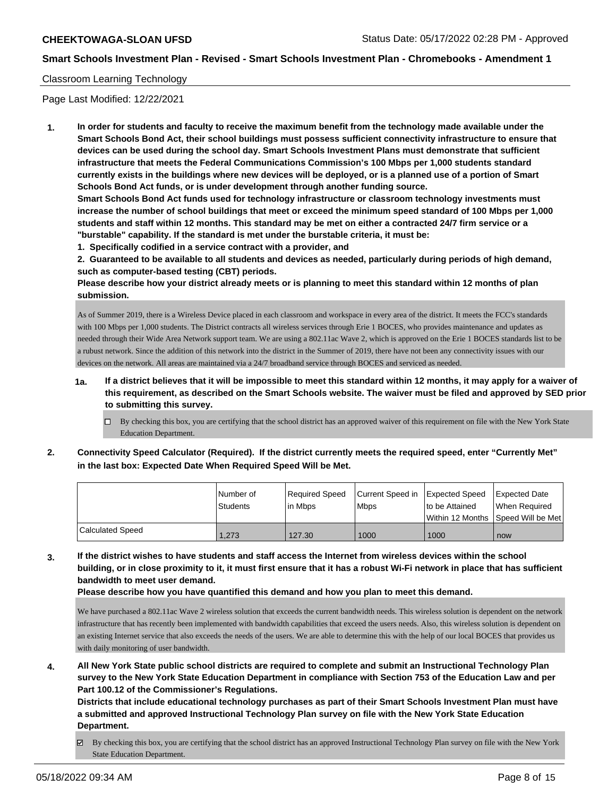## Classroom Learning Technology

Page Last Modified: 12/22/2021

**1. In order for students and faculty to receive the maximum benefit from the technology made available under the Smart Schools Bond Act, their school buildings must possess sufficient connectivity infrastructure to ensure that devices can be used during the school day. Smart Schools Investment Plans must demonstrate that sufficient infrastructure that meets the Federal Communications Commission's 100 Mbps per 1,000 students standard currently exists in the buildings where new devices will be deployed, or is a planned use of a portion of Smart Schools Bond Act funds, or is under development through another funding source.**

**Smart Schools Bond Act funds used for technology infrastructure or classroom technology investments must increase the number of school buildings that meet or exceed the minimum speed standard of 100 Mbps per 1,000 students and staff within 12 months. This standard may be met on either a contracted 24/7 firm service or a "burstable" capability. If the standard is met under the burstable criteria, it must be:**

**1. Specifically codified in a service contract with a provider, and**

**2. Guaranteed to be available to all students and devices as needed, particularly during periods of high demand, such as computer-based testing (CBT) periods.**

**Please describe how your district already meets or is planning to meet this standard within 12 months of plan submission.**

As of Summer 2019, there is a Wireless Device placed in each classroom and workspace in every area of the district. It meets the FCC's standards with 100 Mbps per 1,000 students. The District contracts all wireless services through Erie 1 BOCES, who provides maintenance and updates as needed through their Wide Area Network support team. We are using a 802.11ac Wave 2, which is approved on the Erie 1 BOCES standards list to be a rubust network. Since the addition of this network into the district in the Summer of 2019, there have not been any connectivity issues with our devices on the network. All areas are maintained via a 24/7 broadband service through BOCES and serviced as needed.

- **1a. If a district believes that it will be impossible to meet this standard within 12 months, it may apply for a waiver of this requirement, as described on the Smart Schools website. The waiver must be filed and approved by SED prior to submitting this survey.**
	- $\Box$  By checking this box, you are certifying that the school district has an approved waiver of this requirement on file with the New York State Education Department.
- **2. Connectivity Speed Calculator (Required). If the district currently meets the required speed, enter "Currently Met" in the last box: Expected Date When Required Speed Will be Met.**

|                         | l Number of | Reauired Speed | Current Speed in Expected Speed |                 | <b>Expected Date</b>                |
|-------------------------|-------------|----------------|---------------------------------|-----------------|-------------------------------------|
|                         | Students    | l in Mbps      | <b>Mbps</b>                     | Ito be Attained | When Required                       |
|                         |             |                |                                 |                 | Within 12 Months 1Speed Will be Met |
| <b>Calculated Speed</b> | 1.273       | 127.30         | 1000                            | 1000            | now                                 |

**3. If the district wishes to have students and staff access the Internet from wireless devices within the school building, or in close proximity to it, it must first ensure that it has a robust Wi-Fi network in place that has sufficient bandwidth to meet user demand.**

**Please describe how you have quantified this demand and how you plan to meet this demand.**

We have purchased a 802.11ac Wave 2 wireless solution that exceeds the current bandwidth needs. This wireless solution is dependent on the network infrastructure that has recently been implemented with bandwidth capabilities that exceed the users needs. Also, this wireless solution is dependent on an existing Internet service that also exceeds the needs of the users. We are able to determine this with the help of our local BOCES that provides us with daily monitoring of user bandwidth.

**4. All New York State public school districts are required to complete and submit an Instructional Technology Plan survey to the New York State Education Department in compliance with Section 753 of the Education Law and per Part 100.12 of the Commissioner's Regulations.**

**Districts that include educational technology purchases as part of their Smart Schools Investment Plan must have a submitted and approved Instructional Technology Plan survey on file with the New York State Education Department.**

 $\boxtimes$  By checking this box, you are certifying that the school district has an approved Instructional Technology Plan survey on file with the New York State Education Department.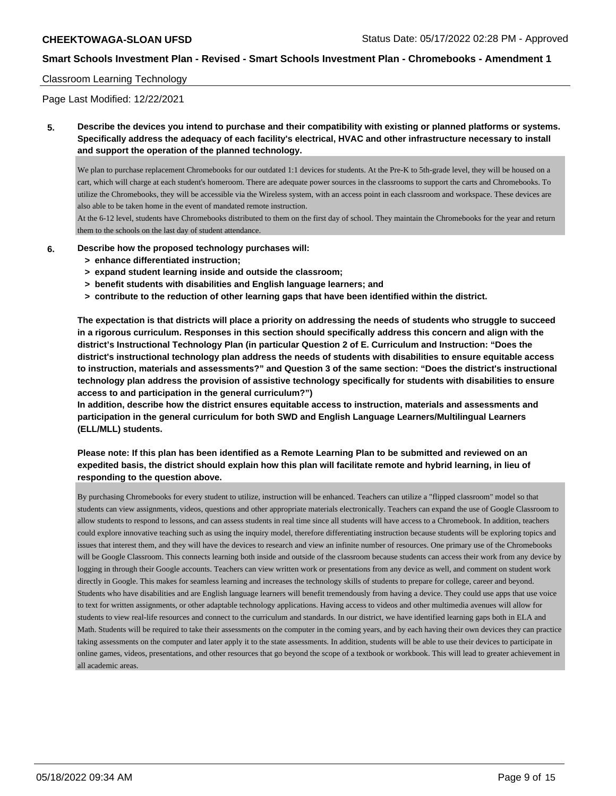## Classroom Learning Technology

Page Last Modified: 12/22/2021

**5. Describe the devices you intend to purchase and their compatibility with existing or planned platforms or systems. Specifically address the adequacy of each facility's electrical, HVAC and other infrastructure necessary to install and support the operation of the planned technology.**

We plan to purchase replacement Chromebooks for our outdated 1:1 devices for students. At the Pre-K to 5th-grade level, they will be housed on a cart, which will charge at each student's homeroom. There are adequate power sources in the classrooms to support the carts and Chromebooks. To utilize the Chromebooks, they will be accessible via the Wireless system, with an access point in each classroom and workspace. These devices are also able to be taken home in the event of mandated remote instruction.

At the 6-12 level, students have Chromebooks distributed to them on the first day of school. They maintain the Chromebooks for the year and return them to the schools on the last day of student attendance.

- **6. Describe how the proposed technology purchases will:**
	- **> enhance differentiated instruction;**
	- **> expand student learning inside and outside the classroom;**
	- **> benefit students with disabilities and English language learners; and**
	- **> contribute to the reduction of other learning gaps that have been identified within the district.**

**The expectation is that districts will place a priority on addressing the needs of students who struggle to succeed in a rigorous curriculum. Responses in this section should specifically address this concern and align with the district's Instructional Technology Plan (in particular Question 2 of E. Curriculum and Instruction: "Does the district's instructional technology plan address the needs of students with disabilities to ensure equitable access to instruction, materials and assessments?" and Question 3 of the same section: "Does the district's instructional technology plan address the provision of assistive technology specifically for students with disabilities to ensure access to and participation in the general curriculum?")**

**In addition, describe how the district ensures equitable access to instruction, materials and assessments and participation in the general curriculum for both SWD and English Language Learners/Multilingual Learners (ELL/MLL) students.**

**Please note: If this plan has been identified as a Remote Learning Plan to be submitted and reviewed on an expedited basis, the district should explain how this plan will facilitate remote and hybrid learning, in lieu of responding to the question above.**

By purchasing Chromebooks for every student to utilize, instruction will be enhanced. Teachers can utilize a "flipped classroom" model so that students can view assignments, videos, questions and other appropriate materials electronically. Teachers can expand the use of Google Classroom to allow students to respond to lessons, and can assess students in real time since all students will have access to a Chromebook. In addition, teachers could explore innovative teaching such as using the inquiry model, therefore differentiating instruction because students will be exploring topics and issues that interest them, and they will have the devices to research and view an infinite number of resources. One primary use of the Chromebooks will be Google Classroom. This connects learning both inside and outside of the classroom because students can access their work from any device by logging in through their Google accounts. Teachers can view written work or presentations from any device as well, and comment on student work directly in Google. This makes for seamless learning and increases the technology skills of students to prepare for college, career and beyond. Students who have disabilities and are English language learners will benefit tremendously from having a device. They could use apps that use voice to text for written assignments, or other adaptable technology applications. Having access to videos and other multimedia avenues will allow for students to view real-life resources and connect to the curriculum and standards. In our district, we have identified learning gaps both in ELA and Math. Students will be required to take their assessments on the computer in the coming years, and by each having their own devices they can practice taking assessments on the computer and later apply it to the state assessments. In addition, students will be able to use their devices to participate in online games, videos, presentations, and other resources that go beyond the scope of a textbook or workbook. This will lead to greater achievement in all academic areas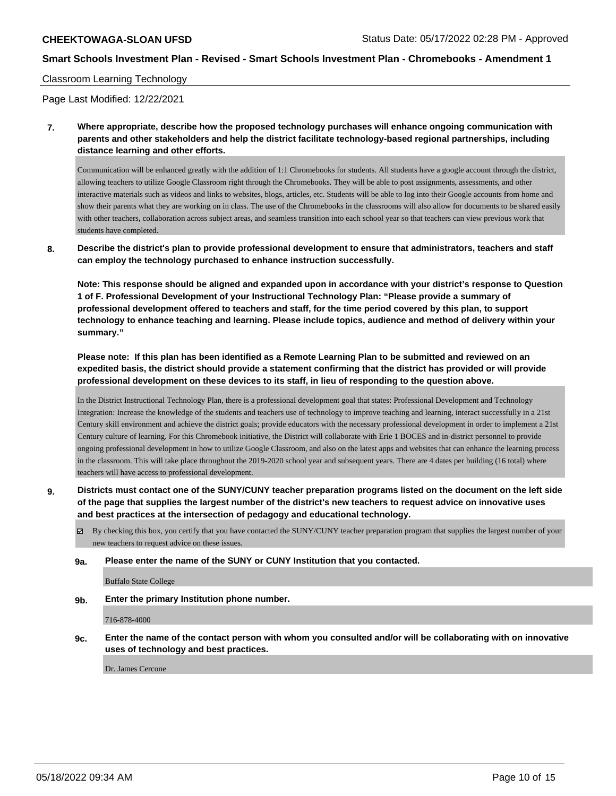## Classroom Learning Technology

Page Last Modified: 12/22/2021

**7. Where appropriate, describe how the proposed technology purchases will enhance ongoing communication with parents and other stakeholders and help the district facilitate technology-based regional partnerships, including distance learning and other efforts.**

Communication will be enhanced greatly with the addition of 1:1 Chromebooks for students. All students have a google account through the district, allowing teachers to utilize Google Classroom right through the Chromebooks. They will be able to post assignments, assessments, and other interactive materials such as videos and links to websites, blogs, articles, etc. Students will be able to log into their Google accounts from home and show their parents what they are working on in class. The use of the Chromebooks in the classrooms will also allow for documents to be shared easily with other teachers, collaboration across subject areas, and seamless transition into each school year so that teachers can view previous work that students have completed.

**8. Describe the district's plan to provide professional development to ensure that administrators, teachers and staff can employ the technology purchased to enhance instruction successfully.**

**Note: This response should be aligned and expanded upon in accordance with your district's response to Question 1 of F. Professional Development of your Instructional Technology Plan: "Please provide a summary of professional development offered to teachers and staff, for the time period covered by this plan, to support technology to enhance teaching and learning. Please include topics, audience and method of delivery within your summary."**

**Please note: If this plan has been identified as a Remote Learning Plan to be submitted and reviewed on an expedited basis, the district should provide a statement confirming that the district has provided or will provide professional development on these devices to its staff, in lieu of responding to the question above.**

In the District Instructional Technology Plan, there is a professional development goal that states: Professional Development and Technology Integration: Increase the knowledge of the students and teachers use of technology to improve teaching and learning, interact successfully in a 21st Century skill environment and achieve the district goals; provide educators with the necessary professional development in order to implement a 21st Century culture of learning. For this Chromebook initiative, the District will collaborate with Erie 1 BOCES and in-district personnel to provide ongoing professional development in how to utilize Google Classroom, and also on the latest apps and websites that can enhance the learning process in the classroom. This will take place throughout the 2019-2020 school year and subsequent years. There are 4 dates per building (16 total) where teachers will have access to professional development.

- **9. Districts must contact one of the SUNY/CUNY teacher preparation programs listed on the document on the left side of the page that supplies the largest number of the district's new teachers to request advice on innovative uses and best practices at the intersection of pedagogy and educational technology.**
	- By checking this box, you certify that you have contacted the SUNY/CUNY teacher preparation program that supplies the largest number of your new teachers to request advice on these issues.
	- **9a. Please enter the name of the SUNY or CUNY Institution that you contacted.**

Buffalo State College

**9b. Enter the primary Institution phone number.**

716-878-4000

**9c. Enter the name of the contact person with whom you consulted and/or will be collaborating with on innovative uses of technology and best practices.**

Dr. James Cercone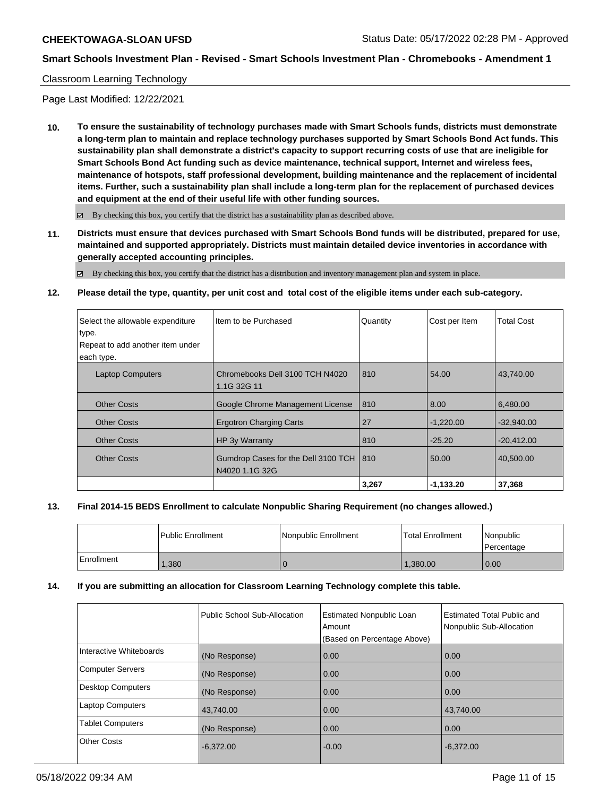## Classroom Learning Technology

Page Last Modified: 12/22/2021

**10. To ensure the sustainability of technology purchases made with Smart Schools funds, districts must demonstrate a long-term plan to maintain and replace technology purchases supported by Smart Schools Bond Act funds. This sustainability plan shall demonstrate a district's capacity to support recurring costs of use that are ineligible for Smart Schools Bond Act funding such as device maintenance, technical support, Internet and wireless fees, maintenance of hotspots, staff professional development, building maintenance and the replacement of incidental items. Further, such a sustainability plan shall include a long-term plan for the replacement of purchased devices and equipment at the end of their useful life with other funding sources.**

 $\boxtimes$  By checking this box, you certify that the district has a sustainability plan as described above.

**11. Districts must ensure that devices purchased with Smart Schools Bond funds will be distributed, prepared for use, maintained and supported appropriately. Districts must maintain detailed device inventories in accordance with generally accepted accounting principles.**

 $\boxtimes$  By checking this box, you certify that the district has a distribution and inventory management plan and system in place.

## **12. Please detail the type, quantity, per unit cost and total cost of the eligible items under each sub-category.**

| Select the allowable expenditure | Item to be Purchased                                        | Quantity | Cost per Item | <b>Total Cost</b> |
|----------------------------------|-------------------------------------------------------------|----------|---------------|-------------------|
| type.                            |                                                             |          |               |                   |
| Repeat to add another item under |                                                             |          |               |                   |
| each type.                       |                                                             |          |               |                   |
| <b>Laptop Computers</b>          | Chromebooks Dell 3100 TCH N4020<br>1.1G 32G 11              | 810      | 54.00         | 43.740.00         |
| <b>Other Costs</b>               | Google Chrome Management License                            | 810      | 8.00          | 6.480.00          |
| <b>Other Costs</b>               | <b>Ergotron Charging Carts</b>                              | 27       | $-1,220.00$   | $-32,940.00$      |
| <b>Other Costs</b>               | HP 3y Warranty                                              | 810      | $-25.20$      | $-20,412.00$      |
| <b>Other Costs</b>               | Gumdrop Cases for the Dell 3100 TCH   810<br>N4020 1.1G 32G |          | 50.00         | 40,500.00         |
|                                  |                                                             | 3,267    | $-1,133.20$   | 37,368            |

### **13. Final 2014-15 BEDS Enrollment to calculate Nonpublic Sharing Requirement (no changes allowed.)**

|            | l Public Enrollment | Nonpublic Enrollment | l Total Enrollment | Nonpublic<br>l Percentage |
|------------|---------------------|----------------------|--------------------|---------------------------|
| Enrollment | ,380                |                      | 1.380.00           | 0.00                      |

### **14. If you are submitting an allocation for Classroom Learning Technology complete this table.**

|                          | Public School Sub-Allocation | <b>Estimated Nonpublic Loan</b><br>Amount | <b>Estimated Total Public and</b><br>Nonpublic Sub-Allocation |
|--------------------------|------------------------------|-------------------------------------------|---------------------------------------------------------------|
|                          |                              | (Based on Percentage Above)               |                                                               |
| Interactive Whiteboards  | (No Response)                | 0.00                                      | 0.00                                                          |
| <b>Computer Servers</b>  | (No Response)                | 0.00                                      | 0.00                                                          |
| <b>Desktop Computers</b> | (No Response)                | 0.00                                      | 0.00                                                          |
| <b>Laptop Computers</b>  | 43,740.00                    | 0.00                                      | 43.740.00                                                     |
| <b>Tablet Computers</b>  | (No Response)                | 0.00                                      | 0.00                                                          |
| <b>Other Costs</b>       | $-6,372.00$                  | $-0.00$                                   | $-6,372.00$                                                   |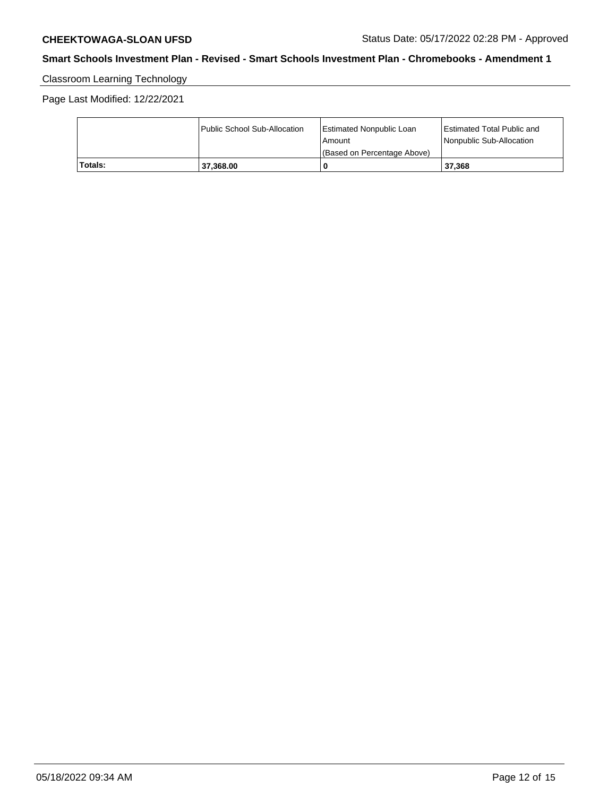# Classroom Learning Technology

Page Last Modified: 12/22/2021

|         | Public School Sub-Allocation | <b>Estimated Nonpublic Loan</b> | Estimated Total Public and |
|---------|------------------------------|---------------------------------|----------------------------|
|         |                              | l Amount                        | Nonpublic Sub-Allocation   |
|         |                              | (Based on Percentage Above)     |                            |
| Totals: | 37.368.00                    | C                               | 37.368                     |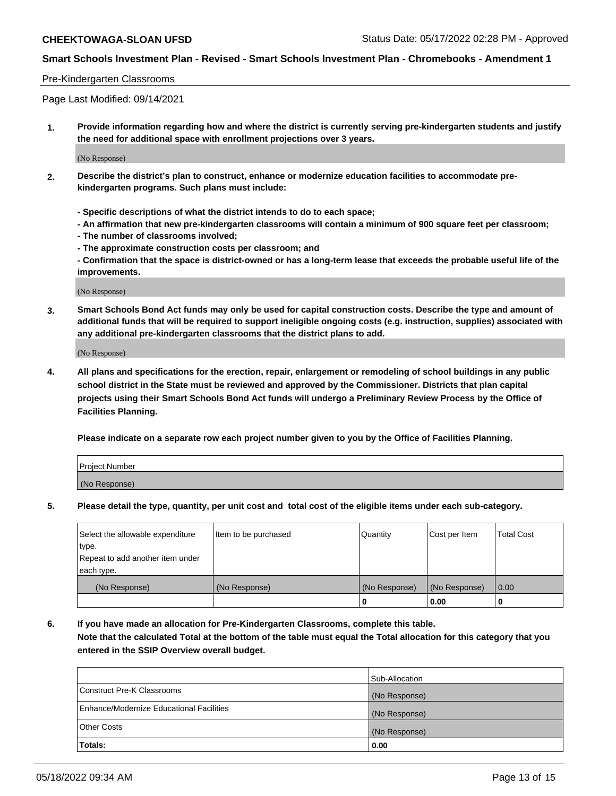### Pre-Kindergarten Classrooms

Page Last Modified: 09/14/2021

**1. Provide information regarding how and where the district is currently serving pre-kindergarten students and justify the need for additional space with enrollment projections over 3 years.**

(No Response)

- **2. Describe the district's plan to construct, enhance or modernize education facilities to accommodate prekindergarten programs. Such plans must include:**
	- **Specific descriptions of what the district intends to do to each space;**
	- **An affirmation that new pre-kindergarten classrooms will contain a minimum of 900 square feet per classroom;**
	- **The number of classrooms involved;**
	- **The approximate construction costs per classroom; and**
	- **Confirmation that the space is district-owned or has a long-term lease that exceeds the probable useful life of the improvements.**

(No Response)

**3. Smart Schools Bond Act funds may only be used for capital construction costs. Describe the type and amount of additional funds that will be required to support ineligible ongoing costs (e.g. instruction, supplies) associated with any additional pre-kindergarten classrooms that the district plans to add.**

(No Response)

**4. All plans and specifications for the erection, repair, enlargement or remodeling of school buildings in any public school district in the State must be reviewed and approved by the Commissioner. Districts that plan capital projects using their Smart Schools Bond Act funds will undergo a Preliminary Review Process by the Office of Facilities Planning.**

**Please indicate on a separate row each project number given to you by the Office of Facilities Planning.**

| Project Number |  |
|----------------|--|
| (No Response)  |  |

**5. Please detail the type, quantity, per unit cost and total cost of the eligible items under each sub-category.**

| Select the allowable expenditure          | Item to be purchased | Quantity      | Cost per Item | <b>Total Cost</b> |
|-------------------------------------------|----------------------|---------------|---------------|-------------------|
| type.<br>Repeat to add another item under |                      |               |               |                   |
| each type.                                |                      |               |               |                   |
| (No Response)                             | (No Response)        | (No Response) | (No Response) | 0.00              |
|                                           |                      | o             | 0.00          |                   |

**6. If you have made an allocation for Pre-Kindergarten Classrooms, complete this table.**

**Note that the calculated Total at the bottom of the table must equal the Total allocation for this category that you entered in the SSIP Overview overall budget.**

|                                          | Sub-Allocation |
|------------------------------------------|----------------|
| Construct Pre-K Classrooms               | (No Response)  |
| Enhance/Modernize Educational Facilities | (No Response)  |
| <b>Other Costs</b>                       | (No Response)  |
| Totals:                                  | 0.00           |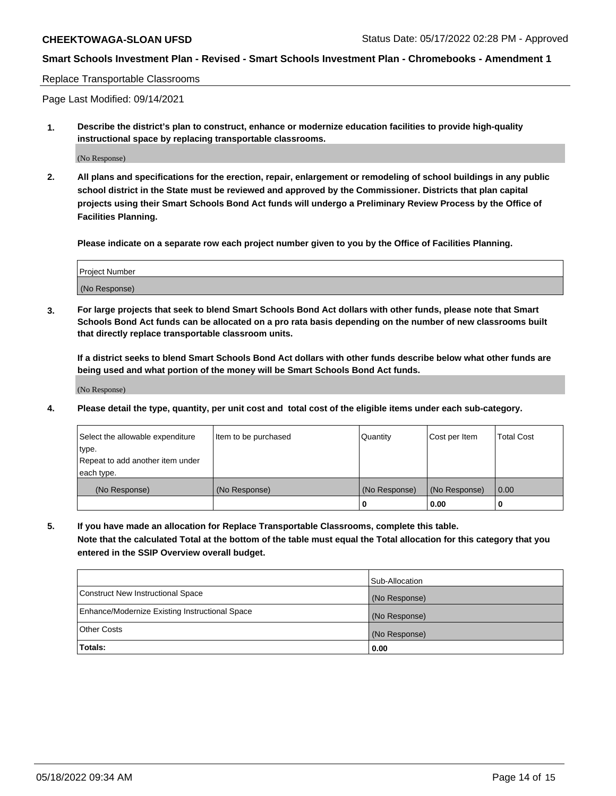#### Replace Transportable Classrooms

Page Last Modified: 09/14/2021

**1. Describe the district's plan to construct, enhance or modernize education facilities to provide high-quality instructional space by replacing transportable classrooms.**

(No Response)

**2. All plans and specifications for the erection, repair, enlargement or remodeling of school buildings in any public school district in the State must be reviewed and approved by the Commissioner. Districts that plan capital projects using their Smart Schools Bond Act funds will undergo a Preliminary Review Process by the Office of Facilities Planning.**

**Please indicate on a separate row each project number given to you by the Office of Facilities Planning.**

| <b>Project Number</b> |  |
|-----------------------|--|
| (No Response)         |  |

**3. For large projects that seek to blend Smart Schools Bond Act dollars with other funds, please note that Smart Schools Bond Act funds can be allocated on a pro rata basis depending on the number of new classrooms built that directly replace transportable classroom units.**

**If a district seeks to blend Smart Schools Bond Act dollars with other funds describe below what other funds are being used and what portion of the money will be Smart Schools Bond Act funds.**

(No Response)

**4. Please detail the type, quantity, per unit cost and total cost of the eligible items under each sub-category.**

| Select the allowable expenditure | Item to be purchased | Quantity      | Cost per Item | <b>Total Cost</b> |
|----------------------------------|----------------------|---------------|---------------|-------------------|
| type.                            |                      |               |               |                   |
| Repeat to add another item under |                      |               |               |                   |
| each type.                       |                      |               |               |                   |
| (No Response)                    | (No Response)        | (No Response) | (No Response) | 0.00              |
|                                  |                      | U             | 0.00          |                   |

**5. If you have made an allocation for Replace Transportable Classrooms, complete this table.**

**Note that the calculated Total at the bottom of the table must equal the Total allocation for this category that you entered in the SSIP Overview overall budget.**

|                                                | Sub-Allocation |
|------------------------------------------------|----------------|
| Construct New Instructional Space              | (No Response)  |
| Enhance/Modernize Existing Instructional Space | (No Response)  |
| <b>Other Costs</b>                             | (No Response)  |
| Totals:                                        | 0.00           |